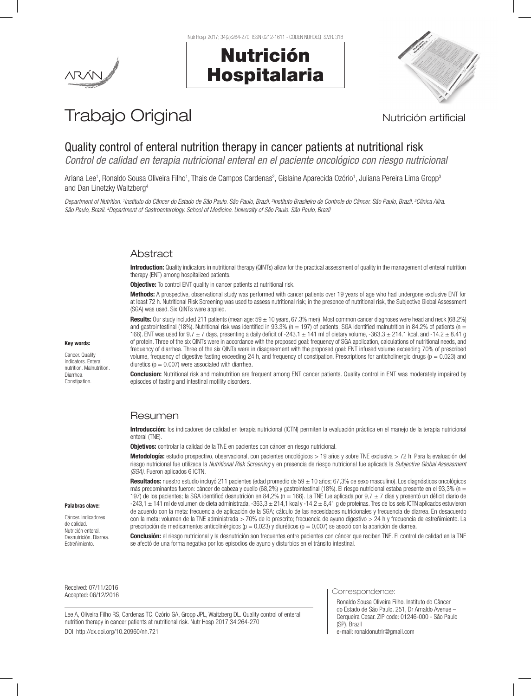

Nutr Hosp. 2017; 34(2):264-270 ISSN 0212-1611 - CODEN NUHOEQ S.V.R. 318



# Trabajo Original **Nutrición artificial**

## Quality control of enteral nutrition therapy in cancer patients at nutritional risk

*Control de calidad en terapia nutricional enteral en el paciente oncológico con riesgo nutricional*

Ariana Lee<sup>1</sup>, Ronaldo Sousa Oliveira Filho<sup>1</sup>, Thais de Campos Cardenas<sup>2</sup>, Gislaine Aparecida Ozório<sup>1</sup>, Juliana Pereira Lima Gropp<sup>3</sup> and Dan Linetzky Waitzberg4

Department of Nutrition. <sup>1</sup>Instituto do Câncer do Estado de São Paulo, São Paulo, Brazil. <sup>2</sup>Instituto Brasileiro de Controle do Câncer. São Paulo, Brazil. <sup>3</sup>Clínica Alira. *São Paulo, Brazil. 4 Department of Gastroenterology. School of Medicine. University of São Paulo. São Paulo, Brazil*

## Abstract

Introduction: Quality indicators in nutritional therapy (QINTs) allow for the practical assessment of quality in the management of enteral nutrition therapy (ENT) among hospitalized patients.

**Objective:** To control ENT quality in cancer patients at nutritional risk.

Methods: A prospective, observational study was performed with cancer patients over 19 years of age who had undergone exclusive ENT for at least 72 h. Nutritional Risk Screening was used to assess nutritional risk; in the presence of nutritional risk, the Subjective Global Assessment (SGA) was used. Six QINTs were applied.

Results: Our study included 211 patients (mean age:  $59 \pm 10$  years, 67.3% men). Most common cancer diagnoses were head and neck (68.2%) and gastrointestinal (18%). Nutritional risk was identified in 93.3% (n = 197) of patients; SGA identified malnutrition in 84.2% of patients (n = 166). ENT was used for  $9.7 \pm 7$  days, presenting a daily deficit of -243.1  $\pm$  141 ml of dietary volume, -363.3  $\pm$  214.1 kcal, and -14.2  $\pm$  8.41 g of protein. Three of the six QINTs were in accordance with the proposed goal: frequency of SGA application, calculations of nutritional needs, and frequency of diarrhea. Three of the six QINTs were in disagreement with the proposed goal: ENT infused volume exceeding 70% of prescribed volume, frequency of digestive fasting exceeding 24 h, and frequency of constipation. Prescriptions for anticholinergic drugs ( $p = 0.023$ ) and diuretics ( $p = 0.007$ ) were associated with diarrhea.

Conclusion: Nutritional risk and malnutrition are frequent among ENT cancer patients. Quality control in ENT was moderately impaired by episodes of fasting and intestinal motility disorders.

## Resumen

Introducción: los indicadores de calidad en terapia nutricional (ICTN) permiten la evaluación práctica en el manejo de la terapia nutricional enteral (TNE).

Objetivos: controlar la calidad de la TNE en pacientes con cáncer en riesgo nutricional.

Metodología: estudio prospectivo, observacional, con pacientes oncológicos > 19 años y sobre TNE exclusiva > 72 h. Para la evaluación del riesgo nutricional fue utilizada la *Nutritional Risk Screening* y en presencia de riesgo nutricional fue aplicada la *Subjective Global Assessment (SGA).* Fueron aplicados 6 ICTN.

Resultados: nuestro estudio incluyó 211 pacientes (edad promedio de 59 ± 10 años; 67,3% de sexo masculino). Los diagnósticos oncológicos más predominantes fueron: cáncer de cabeza y cuello (68,2%) y gastrointestinal (18%). El riesgo nutricional estaba presente en el 93,3% (n = 197) de los pacientes; la SGA identificó desnutrición en 84,2% (n = 166). La TNE fue aplicada por 9,7  $\pm$  7 días y presentó un déficit diario de -243,1 ± 141 ml de volumen de dieta administrada, -363,3 ± 214,1 kcal y -14,2 ± 8,41 g de proteínas. Tres de los seis ICTN aplicados estuvieron de acuerdo con la meta: frecuencia de aplicación de la SGA; cálculo de las necesidades nutricionales y frecuencia de diarrea. En desacuerdo con la meta: volumen de la TNE administrada > 70% de lo prescrito; frecuencia de ayuno digestivo > 24 h y frecuencia de estreñimiento. La prescripción de medicamentos anticolinérgicos ( $p = 0.023$ ) y diuréticos ( $p = 0.007$ ) se asoció con la aparición de diarrea.

Conclusión: el riesgo nutricional y la desnutrición son frecuentes entre pacientes con cáncer que reciben TNE. El control de calidad en la TNE se afectó de una forma negativa por los episodios de ayuno y disturbios en el tránsito intestinal.

Received: 07/11/2016 Accepted: 06/12/2016

Lee A, Oliveira Filho RS, Cardenas TC, Ozório GA, Gropp JPL, Waitzberg DL. Quality control of enteral nutrition therapy in cancer patients at nutritional risk. Nutr Hosp 2017;34:264-270 DOI: http://dx.doi.org/10.20960/nh.721

Correspondence:

Ronaldo Sousa Oliveira Filho. Instituto do Câncer do Estado de São Paulo. 251, Dr Arnaldo Avenue – Cerqueira Cesar. ZIP code: 01246-000 - São Paulo (SP). Brazil e-mail: ronaldonutrir@gmail.com

#### Palabras clave:

Key words: Cancer. Quality indicators. Enteral nutrition. Malnutrition. Diarrhea. Constipation.

Cáncer. Indicadores de calidad. Nutrición enteral. Desnutrición. Diarrea. Estreñimiento.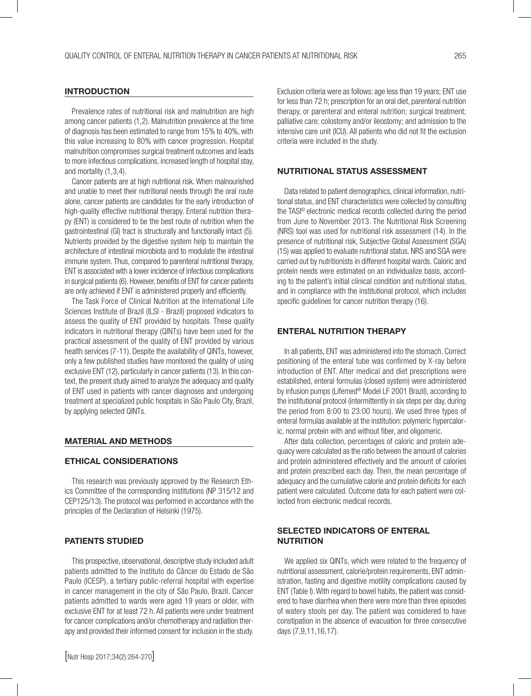#### INTRODUCTION

Prevalence rates of nutritional risk and malnutrition are high among cancer patients (1,2). Malnutrition prevalence at the time of diagnosis has been estimated to range from 15% to 40%, with this value increasing to 80% with cancer progression. Hospital malnutrition compromises surgical treatment outcomes and leads to more infectious complications, increased length of hospital stay, and mortality (1,3,4).

Cancer patients are at high nutritional risk. When malnourished and unable to meet their nutritional needs through the oral route alone, cancer patients are candidates for the early introduction of high-quality effective nutritional therapy. Enteral nutrition therapy (ENT) is considered to be the best route of nutrition when the gastrointestinal (GI) tract is structurally and functionally intact (5). Nutrients provided by the digestive system help to maintain the architecture of intestinal microbiota and to modulate the intestinal immune system. Thus, compared to parenteral nutritional therapy, ENT is associated with a lower incidence of infectious complications in surgical patients (6). However, benefits of ENT for cancer patients are only achieved if ENT is administered properly and efficiently.

The Task Force of Clinical Nutrition at the International Life Sciences Institute of Brazil (ILSI - Brazil) proposed indicators to assess the quality of ENT provided by hospitals. These quality indicators in nutritional therapy (QINTs) have been used for the practical assessment of the quality of ENT provided by various health services (7-11). Despite the availability of QINTs, however, only a few published studies have monitored the quality of using exclusive ENT (12), particularly in cancer patients (13). In this context, the present study aimed to analyze the adequacy and quality of ENT used in patients with cancer diagnoses and undergoing treatment at specialized public hospitals in São Paulo City, Brazil, by applying selected QINTs.

#### MATERIAL AND METHODS

#### ETHICAL CONSIDERATIONS

This research was previously approved by the Research Ethics Committee of the corresponding institutions (NP 315/12 and CEP125/13). The protocol was performed in accordance with the principles of the Declaration of Helsinki (1975).

#### PATIENTS STUDIED

This prospective, observational, descriptive study included adult patients admitted to the Instituto do Câncer do Estado de São Paulo (ICESP), a tertiary public-referral hospital with expertise in cancer management in the city of São Paulo, Brazil. Cancer patients admitted to wards were aged 19 years or older, with exclusive ENT for at least 72 h. All patients were under treatment for cancer complications and/or chemotherapy and radiation therapy and provided their informed consent for inclusion in the study.

Exclusion criteria were as follows: age less than 19 years; ENT use for less than 72 h; prescription for an oral diet, parenteral nutrition therapy, or parenteral and enteral nutrition; surgical treatment; palliative care; colostomy and/or ileostomy; and admission to the intensive care unit (ICU). All patients who did not fit the exclusion criteria were included in the study.

#### NUTRITIONAL STATUS ASSESSMENT

Data related to patient demographics, clinical information, nutritional status, and ENT characteristics were collected by consulting the TASI© electronic medical records collected during the period from June to November 2013. The Nutritional Risk Screening (NRS) tool was used for nutritional risk assessment (14). In the presence of nutritional risk, Subjective Global Assessment (SGA) (15) was applied to evaluate nutritional status. NRS and SGA were carried out by nutritionists in different hospital wards. Caloric and protein needs were estimated on an individualize basis, according to the patient's initial clinical condition and nutritional status, and in compliance with the institutional protocol, which includes specific guidelines for cancer nutrition therapy (16).

#### ENTERAL NUTRITION THERAPY

In all patients, ENT was administered into the stomach. Correct positioning of the enteral tube was confirmed by X-ray before introduction of ENT. After medical and diet prescriptions were established, enteral formulas (closed system) were administered by infusion pumps (Lifemed® Model LF 2001 Brazil), according to the institutional protocol (intermittently in six steps per day, during the period from 8:00 to 23:00 hours). We used three types of enteral formulas available at the institution: polymeric hypercaloric, normal protein with and without fiber, and oligomeric.

After data collection, percentages of caloric and protein adequacy were calculated as the ratio between the amount of calories and protein administered effectively and the amount of calories and protein prescribed each day. Then, the mean percentage of adequacy and the cumulative calorie and protein deficits for each patient were calculated. Outcome data for each patient were collected from electronic medical records.

### SELECTED INDICATORS OF ENTERAL **NUTRITION**

We applied six QINTs, which were related to the frequency of nutritional assessment, calorie/protein requirements, ENT administration, fasting and digestive motility complications caused by ENT (Table I). With regard to bowel habits, the patient was considered to have diarrhea when there were more than three episodes of watery stools per day. The patient was considered to have constipation in the absence of evacuation for three consecutive days (7,9,11,16,17).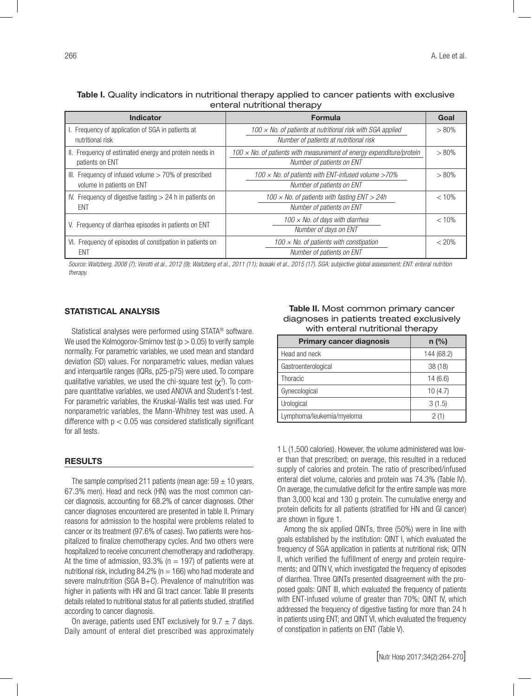Table I. Quality indicators in nutritional therapy applied to cancer patients with exclusive enteral nutritional therapy

| <b>Indicator</b>                                                                    | <b>Formula</b>                                                                                              | Goal     |
|-------------------------------------------------------------------------------------|-------------------------------------------------------------------------------------------------------------|----------|
| I. Frequency of application of SGA in patients at<br>nutritional risk               | 100 $\times$ No. of patients at nutritional risk with SGA applied<br>Number of patients at nutritional risk | $> 80\%$ |
| II. Frequency of estimated energy and protein needs in<br>patients on ENT           | 100 $\times$ No. of patients with measurement of energy expenditure/protein<br>Number of patients on ENT    | $> 80\%$ |
| III. Frequency of infused volume $>$ 70% of prescribed<br>volume in patients on ENT | 100 $\times$ No. of patients with ENT-infused volume >70%<br>Number of patients on ENT                      | $> 80\%$ |
| IV. Frequency of digestive fasting $> 24$ h in patients on<br>ENT                   | 100 $\times$ No. of patients with fasting ENT $>$ 24h<br>Number of patients on ENT                          | < 10%    |
| V. Frequency of diarrhea episodes in patients on ENT                                | 100 $\times$ No. of days with diarrhea<br>Number of days on ENT                                             | < 10%    |
| VI. Frequency of episodes of constipation in patients on<br>ENT                     | 100 $\times$ No. of patients with constipation<br>Number of patients on ENT                                 | < 20%    |

*Source: Waitzberg, 2008 (7); Verotti et al., 2012 (9); Waitzberg et al., 2011 (11); Isosaki et al., 2015 (17). SGA: subjective global assessment; ENT: enteral nutrition therapy.*

#### STATISTICAL ANALYSIS

Statistical analyses were performed using STATA® software. We used the Kolmogorov-Smirnov test ( $p > 0.05$ ) to verify sample normality. For parametric variables, we used mean and standard deviation (SD) values. For nonparametric values, median values and interquartile ranges (IQRs, p25-p75) were used. To compare qualitative variables, we used the chi-square test ( $\chi^2$ ). To compare quantitative variables, we used ANOVA and Student's t-test. For parametric variables, the Kruskal-Wallis test was used. For nonparametric variables, the Mann-Whitney test was used. A difference with  $p < 0.05$  was considered statistically significant for all tests.

#### RESULTS

The sample comprised 211 patients (mean age:  $59 \pm 10$  years, 67.3% men). Head and neck (HN) was the most common cancer diagnosis, accounting for 68.2% of cancer diagnoses. Other cancer diagnoses encountered are presented in table II. Primary reasons for admission to the hospital were problems related to cancer or its treatment (97.6% of cases). Two patients were hospitalized to finalize chemotherapy cycles. And two others were hospitalized to receive concurrent chemotherapy and radiotherapy. At the time of admission, 93.3% ( $n = 197$ ) of patients were at nutritional risk, including  $84.2\%$  (n = 166) who had moderate and severe malnutrition (SGA B+C). Prevalence of malnutrition was higher in patients with HN and GI tract cancer. Table III presents details related to nutritional status for all patients studied, stratified according to cancer diagnosis.

On average, patients used ENT exclusively for  $9.7 \pm 7$  days. Daily amount of enteral diet prescribed was approximately

Table II. Most common primary cancer diagnoses in patients treated exclusively with enteral nutritional therapy

| <b>Primary cancer diagnosis</b> | $n$ (%)    |
|---------------------------------|------------|
| Head and neck                   | 144 (68.2) |
| Gastroenterological             | 38(18)     |
| Thoracic                        | 14(6.6)    |
| Gynecological                   | 10(4.7)    |
| Urological                      | 3(1.5)     |
| Lymphoma/leukemia/myeloma       | 2(1)       |

1 L (1,500 calories). However, the volume administered was lower than that prescribed; on average, this resulted in a reduced supply of calories and protein. The ratio of prescribed/infused enteral diet volume, calories and protein was 74.3% (Table IV). On average, the cumulative deficit for the entire sample was more than 3,000 kcal and 130 g protein. The cumulative energy and protein deficits for all patients (stratified for HN and GI cancer) are shown in figure 1.

Among the six applied QINTs, three (50%) were in line with goals established by the institution: QINT I, which evaluated the frequency of SGA application in patients at nutritional risk; QITN II, which verified the fulfillment of energy and protein requirements; and QITN V, which investigated the frequency of episodes of diarrhea. Three QINTs presented disagreement with the proposed goals: QINT III, which evaluated the frequency of patients with ENT-infused volume of greater than 70%; QINT IV, which addressed the frequency of digestive fasting for more than 24 h in patients using ENT; and QINT VI, which evaluated the frequency of constipation in patients on ENT (Table V).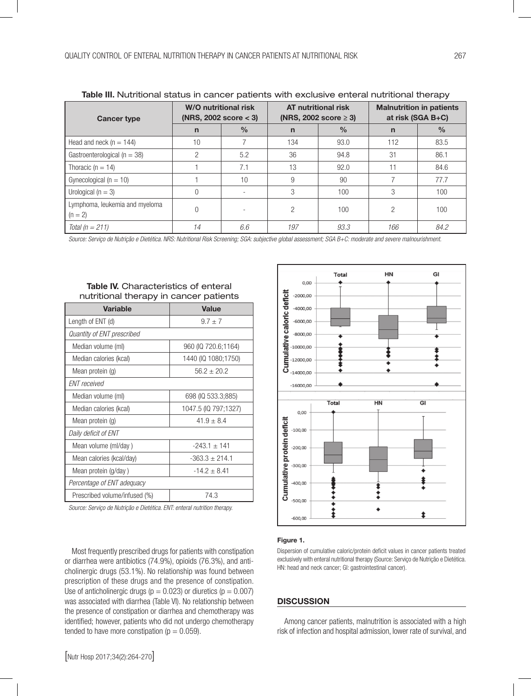| <b>Table III.</b> Nutritional status in cancer patients with exclusive enteral nutritional therapy |                                                      |               |                                                          |      |                                                      |      |
|----------------------------------------------------------------------------------------------------|------------------------------------------------------|---------------|----------------------------------------------------------|------|------------------------------------------------------|------|
| <b>Cancer type</b>                                                                                 | <b>W/O nutritional risk</b><br>(NRS, 2002 score < 3) |               | <b>AT nutritional risk</b><br>(NRS, 2002 score $\geq$ 3) |      | <b>Malnutrition in patients</b><br>at risk (SGA B+C) |      |
|                                                                                                    | $\mathsf{n}$                                         | $\frac{0}{0}$ | $\mathbf n$                                              | $\%$ | n                                                    | $\%$ |
| Head and neck ( $n = 144$ )                                                                        | 10                                                   |               | 134                                                      | 93.0 | 112                                                  | 83.5 |
| Gastroenterological ( $n = 38$ )                                                                   | $\overline{2}$                                       | 5.2           | 36                                                       | 94.8 | 31                                                   | 86.1 |
| Thoracic ( $n = 14$ )                                                                              |                                                      | 7.1           | 13                                                       | 92.0 | 11                                                   | 84.6 |
| Gynecological ( $n = 10$ )                                                                         |                                                      | 10            | 9                                                        | 90   |                                                      | 77.7 |
| Urological ( $n = 3$ )                                                                             | $\Omega$                                             |               | 3                                                        | 100  | 3                                                    | 100  |
| Lymphoma, leukemia and myeloma<br>$(n = 2)$                                                        | $\Omega$                                             |               | 2                                                        | 100  | 2                                                    | 100  |
| Total ( $n = 211$ )                                                                                | 14                                                   | 6.6           | 197                                                      | 93.3 | 166                                                  | 84.2 |

Table III. Nutritional status in cancer patients with exclusive enteral nutritional therapy

*Source: Serviço de Nutrição e Dietética. NRS: Nutritional Risk Screening; SGA: subjective global assessment; SGA B+C: moderate and severe malnourishment.*

| $\frac{1}{2}$                 |                      |  |  |  |  |
|-------------------------------|----------------------|--|--|--|--|
| <b>Variable</b>               | <b>Value</b>         |  |  |  |  |
| Length of ENT (d)             | $9.7 \pm 7$          |  |  |  |  |
| Quantity of ENT prescribed    |                      |  |  |  |  |
| Median volume (ml)            | 960 (IQ 720.6;1164)  |  |  |  |  |
| Median calories (kcal)        | 1440 (IQ 1080;1750)  |  |  |  |  |
| Mean protein (g)              | $56.2 \pm 20.2$      |  |  |  |  |
| <b>ENT</b> received           |                      |  |  |  |  |
| Median volume (ml)            | 698 (IQ 533.3;885)   |  |  |  |  |
| Median calories (kcal)        | 1047.5 (IQ 797;1327) |  |  |  |  |
| Mean protein (g)              | $41.9 \pm 8.4$       |  |  |  |  |
| Daily deficit of ENT          |                      |  |  |  |  |
| Mean volume (ml/day)          | $-243.1 \pm 141$     |  |  |  |  |
| Mean calories (kcal/day)      | $-363.3 \pm 214.1$   |  |  |  |  |
| Mean protein (g/day)          | $-14.2 \pm 8.41$     |  |  |  |  |
| Percentage of ENT adequacy    |                      |  |  |  |  |
| Prescribed volume/infused (%) | 74.3                 |  |  |  |  |

Table IV. Characteristics of enteral nutritional therapy in cancer patients

*Source: Serviço de Nutrição e Dietética. ENT: enteral nutrition therapy.*

Most frequently prescribed drugs for patients with constipation or diarrhea were antibiotics (74.9%), opioids (76.3%), and anticholinergic drugs (53.1%). No relationship was found between prescription of these drugs and the presence of constipation. Use of anticholinergic drugs ( $p = 0.023$ ) or diuretics ( $p = 0.007$ ) was associated with diarrhea (Table VI). No relationship between the presence of constipation or diarrhea and chemotherapy was identified; however, patients who did not undergo chemotherapy tended to have more constipation ( $p = 0.059$ ).



#### Figure 1.

Dispersion of cumulative caloric/protein deficit values in cancer patients treated exclusively with enteral nutritional therapy (Source: Serviço de Nutrição e Dietética. HN: head and neck cancer; GI: gastrointestinal cancer).

#### **DISCUSSION**

Among cancer patients, malnutrition is associated with a high risk of infection and hospital admission, lower rate of survival, and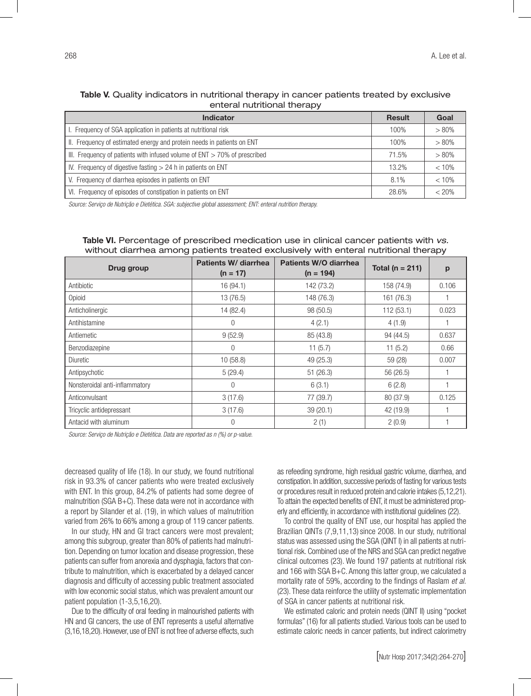|  | Table V. Quality indicators in nutritional therapy in cancer patients treated by exclusive |                             |  |  |
|--|--------------------------------------------------------------------------------------------|-----------------------------|--|--|
|  |                                                                                            | enteral nutritional therapy |  |  |

| <b>Indicator</b>                                                             | <b>Result</b> | Goal     |
|------------------------------------------------------------------------------|---------------|----------|
| I. Frequency of SGA application in patients at nutritional risk              | 100%          | $> 80\%$ |
| II. Frequency of estimated energy and protein needs in patients on ENT       | 100%          | $> 80\%$ |
| III. Frequency of patients with infused volume of $ENT > 70\%$ of prescribed | 71.5%         | $> 80\%$ |
| IV. Frequency of digestive fasting $> 24$ h in patients on ENT               |               | < 10%    |
| V. Frequency of diarrhea episodes in patients on ENT                         |               | < 10%    |
| VI. Frequency of episodes of constipation in patients on ENT                 | 28.6%         | $< 20\%$ |

*Source: Serviço de Nutrição e Dietética. SGA: subjective global assessment; ENT: enteral nutrition therapy.*

| ⊣ ⊏                            |                                    |                                      |                     |       |  |  |  |
|--------------------------------|------------------------------------|--------------------------------------|---------------------|-------|--|--|--|
| Drug group                     | Patients W/ diarrhea<br>$(n = 17)$ | Patients W/O diarrhea<br>$(n = 194)$ | Total ( $n = 211$ ) | p     |  |  |  |
| Antibiotic                     | 16 (94.1)                          | 142 (73.2)                           | 158 (74.9)          | 0.106 |  |  |  |
| Opioid                         | 13 (76.5)                          | 148 (76.3)                           | 161 (76.3)          |       |  |  |  |
| Anticholinergic                | 14 (82.4)                          | 98 (50.5)                            | 112(53.1)           | 0.023 |  |  |  |
| Antihistamine                  | $\Omega$                           | 4(2.1)                               | 4(1.9)              |       |  |  |  |
| Antiemetic                     | 9(52.9)                            | 85 (43.8)                            | 94 (44.5)           | 0.637 |  |  |  |
| Benzodiazepine                 | $\theta$                           | 11(5.7)                              | 11(5.2)             | 0.66  |  |  |  |
| Diuretic                       | 10(58.8)                           | 49 (25.3)                            | 59 (28)             | 0.007 |  |  |  |
| Antipsychotic                  | 5(29.4)                            | 51(26.3)                             | 56 (26.5)           |       |  |  |  |
| Nonsteroidal anti-inflammatory | $\Omega$                           | 6(3.1)                               | 6(2.8)              |       |  |  |  |
| Anticonvulsant                 | 3(17.6)                            | 77 (39.7)                            | 80 (37.9)           | 0.125 |  |  |  |
| Tricyclic antidepressant       | 3(17.6)                            | 39 (20.1)                            | 42 (19.9)           |       |  |  |  |
| Antacid with aluminum          | $\Omega$                           | 2(1)                                 | 2(0.9)              |       |  |  |  |

Table VI. Percentage of prescribed medication use in clinical cancer patients with *vs.*  without diarrhea among patients treated exclusively with enteral nutritional therapy

*Source: Serviço de Nutrição e Dietética. Data are reported as n (%) or p-value.*

decreased quality of life (18). In our study, we found nutritional risk in 93.3% of cancer patients who were treated exclusively with ENT. In this group, 84.2% of patients had some degree of malnutrition (SGA B+C). These data were not in accordance with a report by Silander et al. (19), in which values of malnutrition varied from 26% to 66% among a group of 119 cancer patients.

In our study, HN and GI tract cancers were most prevalent; among this subgroup, greater than 80% of patients had malnutrition. Depending on tumor location and disease progression, these patients can suffer from anorexia and dysphagia, factors that contribute to malnutrition, which is exacerbated by a delayed cancer diagnosis and difficulty of accessing public treatment associated with low economic social status, which was prevalent amount our patient population (1-3,5,16,20).

Due to the difficulty of oral feeding in malnourished patients with HN and GI cancers, the use of ENT represents a useful alternative (3,16,18,20). However, use of ENT is not free of adverse effects, such as refeeding syndrome, high residual gastric volume, diarrhea, and constipation. In addition, successive periods of fasting for various tests or procedures result in reduced protein and calorie intakes (5,12,21). To attain the expected benefits of ENT, it must be administered properly and efficiently, in accordance with institutional guidelines (22).

To control the quality of ENT use, our hospital has applied the Brazilian QINTs (7,9,11,13) since 2008. In our study, nutritional status was assessed using the SGA (QINT I) in all patients at nutritional risk. Combined use of the NRS and SGA can predict negative clinical outcomes (23). We found 197 patients at nutritional risk and 166 with SGA B+C. Among this latter group, we calculated a mortality rate of 59%, according to the findings of Raslam *et al.* (23). These data reinforce the utility of systematic implementation of SGA in cancer patients at nutritional risk.

We estimated caloric and protein needs (QINT II) using "pocket formulas" (16) for all patients studied. Various tools can be used to estimate caloric needs in cancer patients, but indirect calorimetry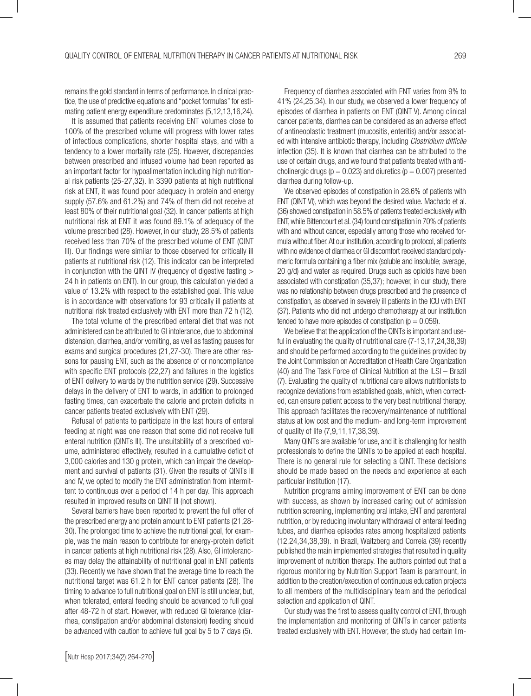remains the gold standard in terms of performance. In clinical practice, the use of predictive equations and "pocket formulas" for estimating patient energy expenditure predominates (5,12,13,16,24).

It is assumed that patients receiving ENT volumes close to 100% of the prescribed volume will progress with lower rates of infectious complications, shorter hospital stays, and with a tendency to a lower mortality rate (25). However, discrepancies between prescribed and infused volume had been reported as an important factor for hypoalimentation including high nutritional risk patients (25-27,32). In 3390 patients at high nutritional risk at ENT, it was found poor adequacy in protein and energy supply (57.6% and 61.2%) and 74% of them did not receive at least 80% of their nutritional goal (32). In cancer patients at high nutritional risk at ENT it was found 89.1% of adequacy of the volume prescribed (28). However, in our study, 28.5% of patients received less than 70% of the prescribed volume of ENT (QINT III). Our findings were similar to those observed for critically ill patients at nutritional risk (12). This indicator can be interpreted in conjunction with the QINT IV (frequency of digestive fasting  $>$ 24 h in patients on ENT). In our group, this calculation yielded a value of 13.2% with respect to the established goal. This value is in accordance with observations for 93 critically ill patients at nutritional risk treated exclusively with ENT more than 72 h (12).

The total volume of the prescribed enteral diet that was not administered can be attributed to GI intolerance, due to abdominal distension, diarrhea, and/or vomiting, as well as fasting pauses for exams and surgical procedures (21,27-30). There are other reasons for pausing ENT, such as the absence of or noncompliance with specific ENT protocols (22,27) and failures in the logistics of ENT delivery to wards by the nutrition service (29). Successive delays in the delivery of ENT to wards, in addition to prolonged fasting times, can exacerbate the calorie and protein deficits in cancer patients treated exclusively with ENT (29).

Refusal of patients to participate in the last hours of enteral feeding at night was one reason that some did not receive full enteral nutrition (QINTs III). The unsuitability of a prescribed volume, administered effectively, resulted in a cumulative deficit of 3,000 calories and 130 g protein, which can impair the development and survival of patients (31). Given the results of QINTs III and IV, we opted to modify the ENT administration from intermittent to continuous over a period of 14 h per day. This approach resulted in improved results on QINT III (not shown).

Several barriers have been reported to prevent the full offer of the prescribed energy and protein amount to ENT patients (21,28- 30). The prolonged time to achieve the nutritional goal, for example, was the main reason to contribute for energy-protein deficit in cancer patients at high nutritional risk (28). Also, GI intolerances may delay the attainability of nutritional goal in ENT patients (33). Recently we have shown that the average time to reach the nutritional target was 61.2 h for ENT cancer patients (28). The timing to advance to full nutritional goal on ENT is still unclear, but, when tolerated, enteral feeding should be advanced to full goal after 48-72 h of start. However, with reduced GI tolerance (diarrhea, constipation and/or abdominal distension) feeding should be advanced with caution to achieve full goal by 5 to 7 days (5).

Frequency of diarrhea associated with ENT varies from 9% to 41% (24,25,34). In our study, we observed a lower frequency of episodes of diarrhea in patients on ENT (QINT V). Among clinical cancer patients, diarrhea can be considered as an adverse effect of antineoplastic treatment (mucositis, enteritis) and/or associated with intensive antibiotic therapy, including *Clostridium difficile* infection (35). It is known that diarrhea can be attributed to the use of certain drugs, and we found that patients treated with anticholinergic drugs ( $p = 0.023$ ) and diuretics ( $p = 0.007$ ) presented diarrhea during follow-up.

We observed episodes of constipation in 28.6% of patients with ENT (QINT VI), which was beyond the desired value. Machado et al. (36) showed constipation in 58.5% of patients treated exclusively with ENT, while Bittencourt et al. (34) found constipation in 70% of patients with and without cancer, especially among those who received formula without fiber. At our institution, according to protocol, all patients with no evidence of diarrhea or GI discomfort received standard polymeric formula containing a fiber mix (soluble and insoluble; average, 20 g/d) and water as required. Drugs such as opioids have been associated with constipation (35,37); however, in our study, there was no relationship between drugs prescribed and the presence of constipation, as observed in severely ill patients in the ICU with ENT (37). Patients who did not undergo chemotherapy at our institution tended to have more episodes of constipation ( $p = 0.059$ ).

We believe that the application of the QINTs is important and useful in evaluating the quality of nutritional care (7-13,17,24,38,39) and should be performed according to the guidelines provided by the Joint Commission on Accreditation of Health Care Organization (40) and The Task Force of Clinical Nutrition at the ILSI – Brazil (7). Evaluating the quality of nutritional care allows nutritionists to recognize deviations from established goals, which, when corrected, can ensure patient access to the very best nutritional therapy. This approach facilitates the recovery/maintenance of nutritional status at low cost and the medium- and long-term improvement of quality of life (7,9,11,17,38,39).

Many QINTs are available for use, and it is challenging for health professionals to define the QINTs to be applied at each hospital. There is no general rule for selecting a QINT. These decisions should be made based on the needs and experience at each particular institution (17).

Nutrition programs aiming improvement of ENT can be done with success, as shown by increased caring out of admission nutrition screening, implementing oral intake, ENT and parenteral nutrition, or by reducing involuntary withdrawal of enteral feeding tubes, and diarrhea episodes rates among hospitalized patients (12,24,34,38,39). In Brazil, Waitzberg and Correia (39) recently published the main implemented strategies that resulted in quality improvement of nutrition therapy. The authors pointed out that a rigorous monitoring by Nutrition Support Team is paramount, in addition to the creation/execution of continuous education projects to all members of the multidisciplinary team and the periodical selection and application of QINT.

Our study was the first to assess quality control of ENT, through the implementation and monitoring of QINTs in cancer patients treated exclusively with ENT. However, the study had certain lim